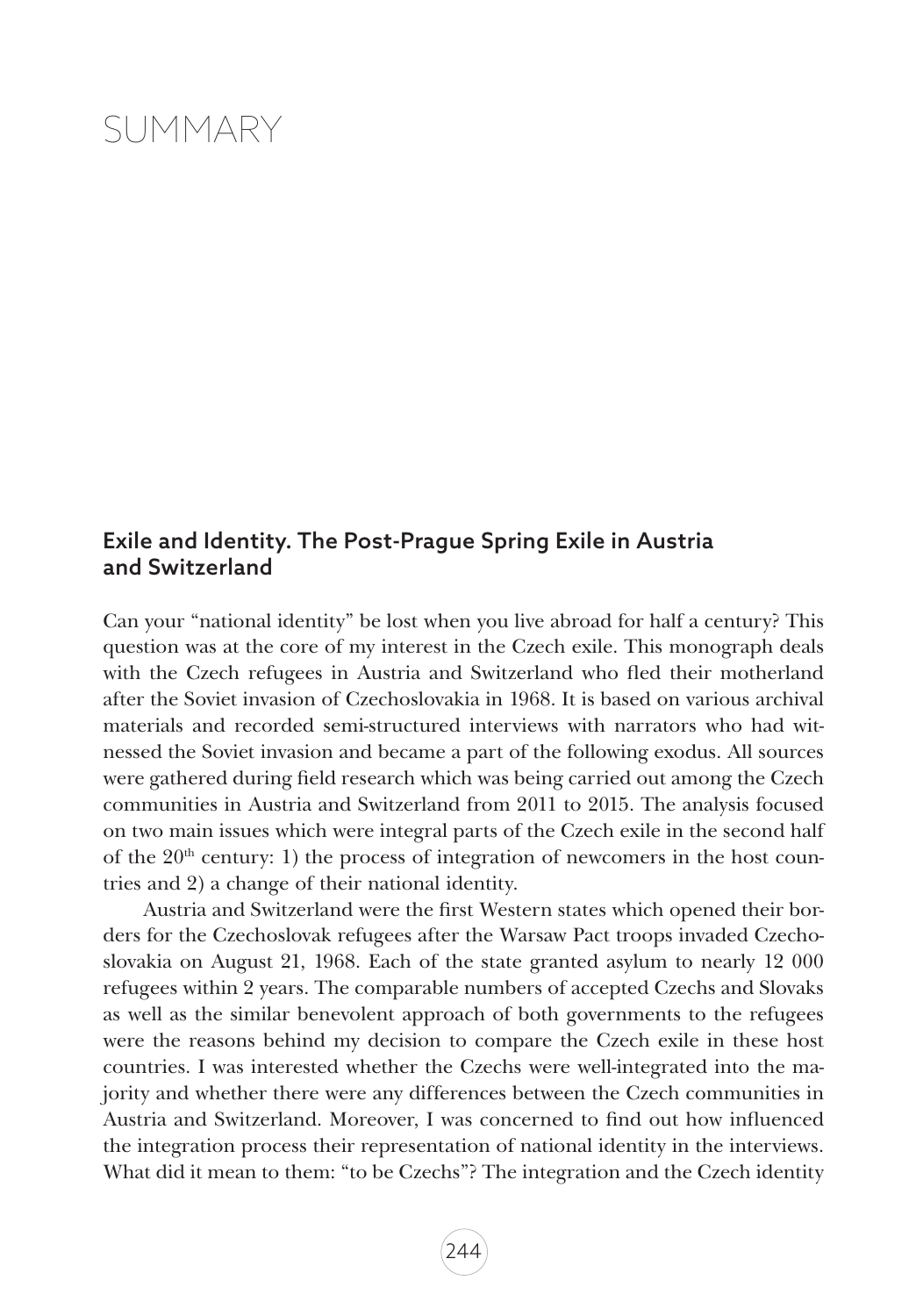## SUMMARY

## Exile and Identity. The Post-Prague Spring Exile in Austria and Switzerland

Can your "national identity" be lost when you live abroad for half a century? This question was at the core of my interest in the Czech exile. This monograph deals with the Czech refugees in Austria and Switzerland who fled their motherland after the Soviet invasion of Czechoslovakia in 1968. It is based on various archival materials and recorded semi-structured interviews with narrators who had witnessed the Soviet invasion and became a part of the following exodus. All sources were gathered during field research which was being carried out among the Czech communities in Austria and Switzerland from 2011 to 2015. The analysis focused on two main issues which were integral parts of the Czech exile in the second half of the 20<sup>th</sup> century: 1) the process of integration of newcomers in the host countries and 2) a change of their national identity.

Austria and Switzerland were the first Western states which opened their borders for the Czechoslovak refugees after the Warsaw Pact troops invaded Czechoslovakia on August 21, 1968. Each of the state granted asylum to nearly 12 000 refugees within 2 years. The comparable numbers of accepted Czechs and Slovaks as well as the similar benevolent approach of both governments to the refugees were the reasons behind my decision to compare the Czech exile in these host countries. I was interested whether the Czechs were well-integrated into the majority and whether there were any differences between the Czech communities in Austria and Switzerland. Moreover, I was concerned to find out how influenced the integration process their representation of national identity in the interviews. What did it mean to them: "to be Czechs"? The integration and the Czech identity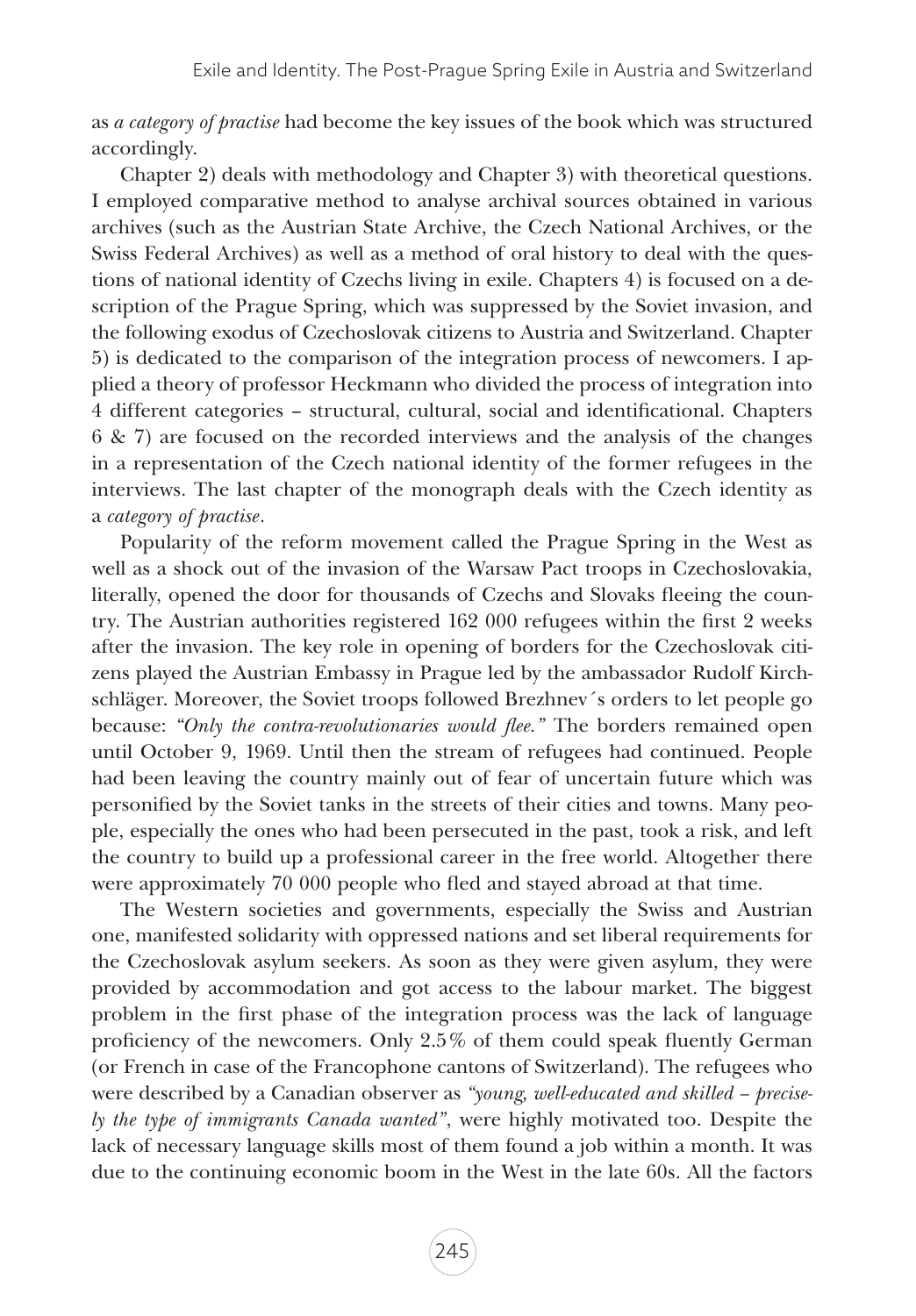as *a category of practise* had become the key issues of the book which was structured accordingly.

Chapter 2) deals with methodology and Chapter 3) with theoretical questions. I employed comparative method to analyse archival sources obtained in various archives (such as the Austrian State Archive, the Czech National Archives, or the Swiss Federal Archives) as well as a method of oral history to deal with the questions of national identity of Czechs living in exile. Chapters 4) is focused on a description of the Prague Spring, which was suppressed by the Soviet invasion, and the following exodus of Czechoslovak citizens to Austria and Switzerland. Chapter 5) is dedicated to the comparison of the integration process of newcomers. I applied a theory of professor Heckmann who divided the process of integration into 4 different categories – structural, cultural, social and identificational. Chapters 6 & 7) are focused on the recorded interviews and the analysis of the changes in a representation of the Czech national identity of the former refugees in the interviews. The last chapter of the monograph deals with the Czech identity as a *category of practise*.

Popularity of the reform movement called the Prague Spring in the West as well as a shock out of the invasion of the Warsaw Pact troops in Czechoslovakia, literally, opened the door for thousands of Czechs and Slovaks fleeing the country. The Austrian authorities registered 162 000 refugees within the first 2 weeks after the invasion. The key role in opening of borders for the Czechoslovak citizens played the Austrian Embassy in Prague led by the ambassador Rudolf Kirchschläger. Moreover, the Soviet troops followed Brezhnev´s orders to let people go because: *"Only the contra-revolutionaries would flee."* The borders remained open until October 9, 1969. Until then the stream of refugees had continued. People had been leaving the country mainly out of fear of uncertain future which was personified by the Soviet tanks in the streets of their cities and towns. Many people, especially the ones who had been persecuted in the past, took a risk, and left the country to build up a professional career in the free world. Altogether there were approximately 70 000 people who fled and stayed abroad at that time.

The Western societies and governments, especially the Swiss and Austrian one, manifested solidarity with oppressed nations and set liberal requirements for the Czechoslovak asylum seekers. As soon as they were given asylum, they were provided by accommodation and got access to the labour market. The biggest problem in the first phase of the integration process was the lack of language proficiency of the newcomers. Only 2.5% of them could speak fluently German (or French in case of the Francophone cantons of Switzerland). The refugees who were described by a Canadian observer as *"young, well-educated and skilled – precisely the type of immigrants Canada wanted"*, were highly motivated too. Despite the lack of necessary language skills most of them found a job within a month. It was due to the continuing economic boom in the West in the late 60s. All the factors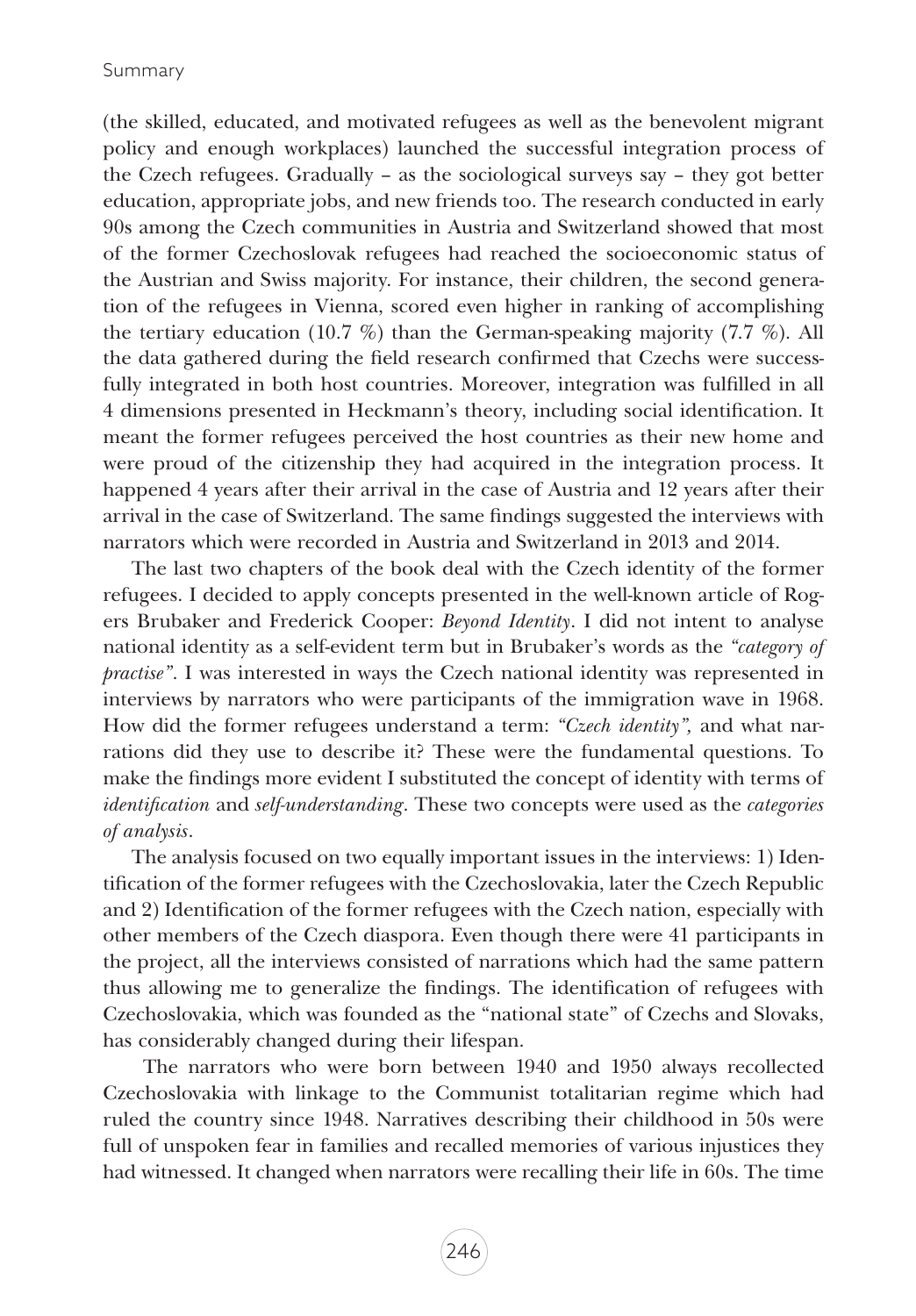(the skilled, educated, and motivated refugees as well as the benevolent migrant policy and enough workplaces) launched the successful integration process of the Czech refugees. Gradually – as the sociological surveys say – they got better education, appropriate jobs, and new friends too. The research conducted in early 90s among the Czech communities in Austria and Switzerland showed that most of the former Czechoslovak refugees had reached the socioeconomic status of the Austrian and Swiss majority. For instance, their children, the second generation of the refugees in Vienna, scored even higher in ranking of accomplishing the tertiary education  $(10.7 \%)$  than the German-speaking majority  $(7.7 \%)$ . All the data gathered during the field research confirmed that Czechs were successfully integrated in both host countries. Moreover, integration was fulfilled in all 4 dimensions presented in Heckmann's theory, including social identification. It meant the former refugees perceived the host countries as their new home and were proud of the citizenship they had acquired in the integration process. It happened 4 years after their arrival in the case of Austria and 12 years after their arrival in the case of Switzerland. The same findings suggested the interviews with narrators which were recorded in Austria and Switzerland in 2013 and 2014.

The last two chapters of the book deal with the Czech identity of the former refugees. I decided to apply concepts presented in the well-known article of Rogers Brubaker and Frederick Cooper: *Beyond Identity*. I did not intent to analyse national identity as a self-evident term but in Brubaker's words as the *"category of practise"*. I was interested in ways the Czech national identity was represented in interviews by narrators who were participants of the immigration wave in 1968. How did the former refugees understand a term: *"Czech identity",* and what narrations did they use to describe it? These were the fundamental questions. To make the findings more evident I substituted the concept of identity with terms of *identification* and *self-understanding*. These two concepts were used as the *categories of analysis*.

The analysis focused on two equally important issues in the interviews: 1) Identification of the former refugees with the Czechoslovakia, later the Czech Republic and 2) Identification of the former refugees with the Czech nation, especially with other members of the Czech diaspora. Even though there were 41 participants in the project, all the interviews consisted of narrations which had the same pattern thus allowing me to generalize the findings. The identification of refugees with Czechoslovakia, which was founded as the "national state" of Czechs and Slovaks, has considerably changed during their lifespan.

The narrators who were born between 1940 and 1950 always recollected Czechoslovakia with linkage to the Communist totalitarian regime which had ruled the country since 1948. Narratives describing their childhood in 50s were full of unspoken fear in families and recalled memories of various injustices they had witnessed. It changed when narrators were recalling their life in 60s. The time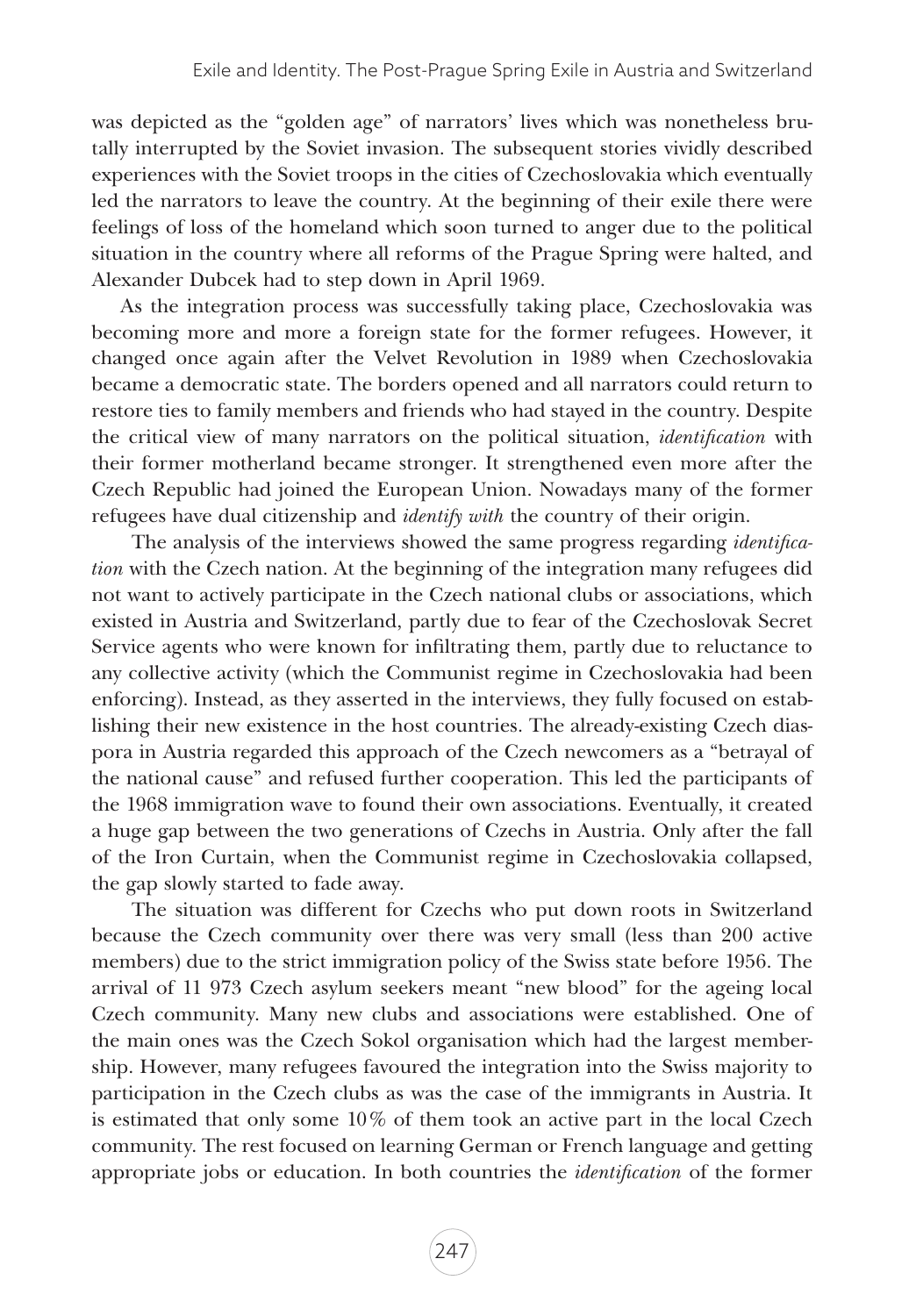was depicted as the "golden age" of narrators' lives which was nonetheless brutally interrupted by the Soviet invasion. The subsequent stories vividly described experiences with the Soviet troops in the cities of Czechoslovakia which eventually led the narrators to leave the country. At the beginning of their exile there were feelings of loss of the homeland which soon turned to anger due to the political situation in the country where all reforms of the Prague Spring were halted, and Alexander Dubcek had to step down in April 1969.

As the integration process was successfully taking place, Czechoslovakia was becoming more and more a foreign state for the former refugees. However, it changed once again after the Velvet Revolution in 1989 when Czechoslovakia became a democratic state. The borders opened and all narrators could return to restore ties to family members and friends who had stayed in the country. Despite the critical view of many narrators on the political situation, *identification* with their former motherland became stronger. It strengthened even more after the Czech Republic had joined the European Union. Nowadays many of the former refugees have dual citizenship and *identify with* the country of their origin.

The analysis of the interviews showed the same progress regarding *identification* with the Czech nation. At the beginning of the integration many refugees did not want to actively participate in the Czech national clubs or associations, which existed in Austria and Switzerland, partly due to fear of the Czechoslovak Secret Service agents who were known for infiltrating them, partly due to reluctance to any collective activity (which the Communist regime in Czechoslovakia had been enforcing). Instead, as they asserted in the interviews, they fully focused on establishing their new existence in the host countries. The already-existing Czech diaspora in Austria regarded this approach of the Czech newcomers as a "betrayal of the national cause" and refused further cooperation. This led the participants of the 1968 immigration wave to found their own associations. Eventually, it created a huge gap between the two generations of Czechs in Austria. Only after the fall of the Iron Curtain, when the Communist regime in Czechoslovakia collapsed, the gap slowly started to fade away.

The situation was different for Czechs who put down roots in Switzerland because the Czech community over there was very small (less than 200 active members) due to the strict immigration policy of the Swiss state before 1956. The arrival of 11 973 Czech asylum seekers meant "new blood" for the ageing local Czech community. Many new clubs and associations were established. One of the main ones was the Czech Sokol organisation which had the largest membership. However, many refugees favoured the integration into the Swiss majority to participation in the Czech clubs as was the case of the immigrants in Austria. It is estimated that only some 10% of them took an active part in the local Czech community. The rest focused on learning German or French language and getting appropriate jobs or education. In both countries the *identification* of the former